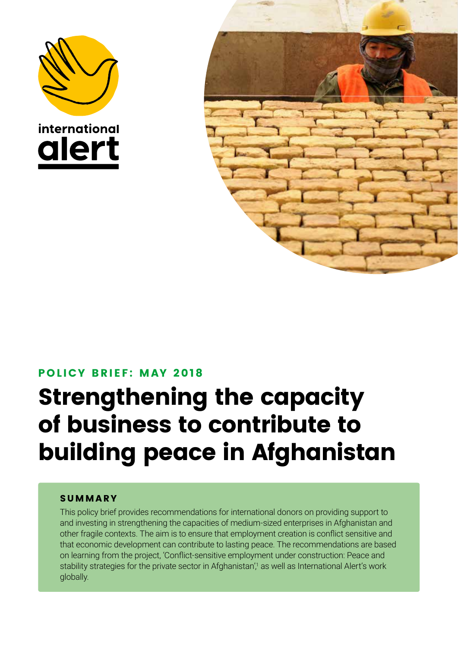



### POLICY BRIEF: MAY 2018

# Strengthening the capacity of business to contribute to building peace in Afghanistan

### **SUMMARY**

This policy brief provides recommendations for international donors on providing support to and investing in strengthening the capacities of medium-sized enterprises in Afghanistan and other fragile contexts. The aim is to ensure that employment creation is conflict sensitive and that economic development can contribute to lasting peace. The recommendations are based on learning from the project, 'Conflict-sensitive employment under construction: Peace and stability strategies for the private sector in Afghanistan',<sup>1</sup> as well as International Alert's work globally.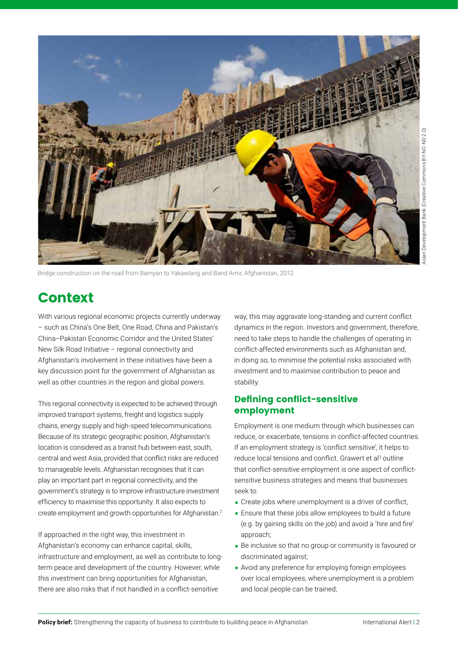

Bridge construction on the road from Bamyan to Yakawlang and Band Amir, Afghanistan, 2012.

# Context

With various regional economic projects currently underway – such as China's One Belt, One Road, China and Pakistan's China–Pakistan Economic Corridor and the United States' New Silk Road Initiative – regional connectivity and Afghanistan's involvement in these initiatives have been a key discussion point for the government of Afghanistan as well as other countries in the region and global powers.

This regional connectivity is expected to be achieved through improved transport systems, freight and logistics supply chains, energy supply and high-speed telecommunications. Because of its strategic geographic position, Afghanistan's location is considered as a transit hub between east, south, central and west Asia, provided that conflict risks are reduced to manageable levels. Afghanistan recognises that it can play an important part in regional connectivity, and the government's strategy is to improve infrastructure investment efficiency to maximise this opportunity. It also expects to create employment and growth opportunities for Afghanistan.2

If approached in the right way, this investment in Afghanistan's economy can enhance capital, skills, infrastructure and employment, as well as contribute to longterm peace and development of the country. However, while this investment can bring opportunities for Afghanistan, there are also risks that if not handled in a conflict-sensitive

way, this may aggravate long-standing and current conflict dynamics in the region. Investors and government, therefore, need to take steps to handle the challenges of operating in conflict-affected environments such as Afghanistan and, in doing so, to minimise the potential risks associated with investment and to maximise contribution to peace and stability.

#### Defining conflict-sensitive employment

Employment is one medium through which businesses can reduce, or exacerbate, tensions in conflict-affected countries. If an employment strategy is 'conflict sensitive', it helps to reduce local tensions and conflict. Grawert et al<sup>3</sup> outline that conflict-sensitive employment is one aspect of conflictsensitive business strategies and means that businesses seek to:

- Create jobs where unemployment is a driver of conflict;
- Ensure that these jobs allow employees to build a future (e.g. by gaining skills on the job) and avoid a 'hire and fire' approach;
- Be inclusive so that no group or community is favoured or discriminated against;
- Avoid any preference for employing foreign employees over local employees, where unemployment is a problem and local people can be trained;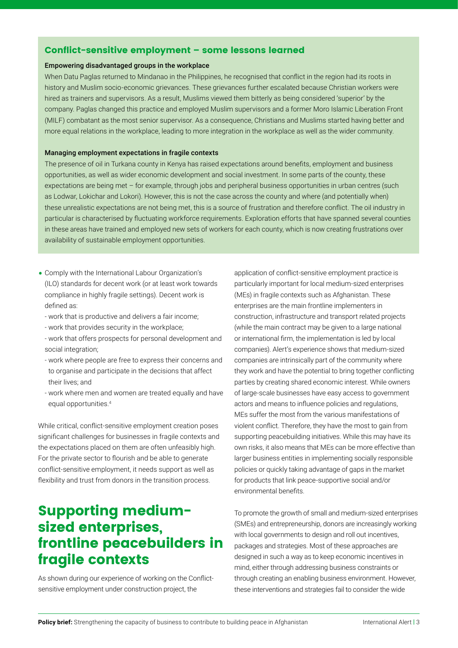#### Conflict-sensitive employment – some lessons learned

#### Empowering disadvantaged groups in the workplace

When Datu Paglas returned to Mindanao in the Philippines, he recognised that conflict in the region had its roots in history and Muslim socio-economic grievances. These grievances further escalated because Christian workers were hired as trainers and supervisors. As a result, Muslims viewed them bitterly as being considered 'superior' by the company. Paglas changed this practice and employed Muslim supervisors and a former Moro Islamic Liberation Front (MILF) combatant as the most senior supervisor. As a consequence, Christians and Muslims started having better and more equal relations in the workplace, leading to more integration in the workplace as well as the wider community.

#### Managing employment expectations in fragile contexts

The presence of oil in Turkana county in Kenya has raised expectations around benefits, employment and business opportunities, as well as wider economic development and social investment. In some parts of the county, these expectations are being met – for example, through jobs and peripheral business opportunities in urban centres (such as Lodwar, Lokichar and Lokori). However, this is not the case across the county and where (and potentially when) these unrealistic expectations are not being met, this is a source of frustration and therefore conflict. The oil industry in particular is characterised by fluctuating workforce requirements. Exploration efforts that have spanned several counties in these areas have trained and employed new sets of workers for each county, which is now creating frustrations over availability of sustainable employment opportunities.

- Comply with the International Labour Organization's (ILO) standards for decent work (or at least work towards compliance in highly fragile settings). Decent work is defined as:
	- work that is productive and delivers a fair income;
	- work that provides security in the workplace;
	- work that offers prospects for personal development and social integration;
	- work where people are free to express their concerns and to organise and participate in the decisions that affect their lives; and
	- work where men and women are treated equally and have equal opportunities.4

While critical, conflict-sensitive employment creation poses significant challenges for businesses in fragile contexts and the expectations placed on them are often unfeasibly high. For the private sector to flourish and be able to generate conflict-sensitive employment, it needs support as well as flexibility and trust from donors in the transition process.

# Supporting mediumsized enterprises, frontline peacebuilders in fragile contexts

As shown during our experience of working on the Conflictsensitive employment under construction project, the

application of conflict-sensitive employment practice is particularly important for local medium-sized enterprises (MEs) in fragile contexts such as Afghanistan. These enterprises are the main frontline implementers in construction, infrastructure and transport related projects (while the main contract may be given to a large national or international firm, the implementation is led by local companies). Alert's experience shows that medium-sized companies are intrinsically part of the community where they work and have the potential to bring together conflicting parties by creating shared economic interest. While owners of large-scale businesses have easy access to government actors and means to influence policies and regulations, MEs suffer the most from the various manifestations of violent conflict. Therefore, they have the most to gain from supporting peacebuilding initiatives. While this may have its own risks, it also means that MEs can be more effective than larger business entities in implementing socially responsible policies or quickly taking advantage of gaps in the market for products that link peace-supportive social and/or environmental benefits.

To promote the growth of small and medium-sized enterprises (SMEs) and entrepreneurship, donors are increasingly working with local governments to design and roll out incentives, packages and strategies. Most of these approaches are designed in such a way as to keep economic incentives in mind, either through addressing business constraints or through creating an enabling business environment. However, these interventions and strategies fail to consider the wide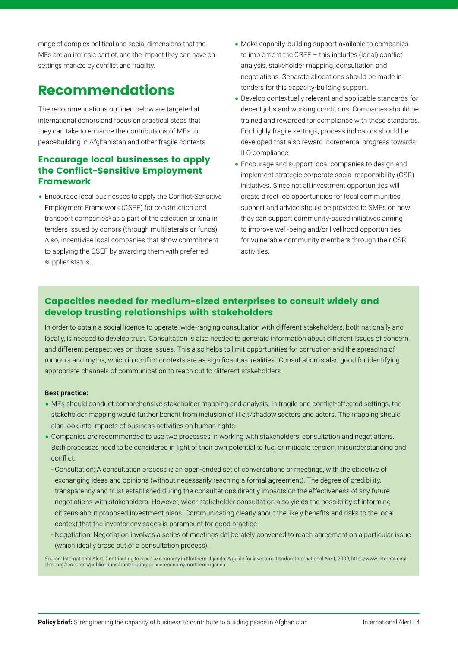range of complex political and social dimensions that the MEs are an intrinsic part of, and the impact they can have on settings marked by conflict and fragility.

# Recommendations

The recommendations outlined below are targeted at international donors and focus on practical steps that they can take to enhance the contributions of MEs to peacebuilding in Afghanistan and other fragile contexts.

### Encourage local businesses to apply the Conflict-Sensitive Employment Framework

• Encourage local businesses to apply the Conflict-Sensitive Employment Framework (CSEF) for construction and transport companies<sup>5</sup> as a part of the selection criteria in tenders issued by donors (through multilaterals or funds). Also, incentivise local companies that show commitment to applying the CSEF by awarding them with preferred supplier status.

- Make capacity-building support available to companies to implement the CSEF – this includes (local) conflict analysis, stakeholder mapping, consultation and negotiations. Separate allocations should be made in tenders for this capacity-building support.
- Develop contextually relevant and applicable standards for decent jobs and working conditions. Companies should be trained and rewarded for compliance with these standards. For highly fragile settings, process indicators should be developed that also reward incremental progress towards ILO compliance.
- Encourage and support local companies to design and implement strategic corporate social responsibility (CSR) initiatives. Since not all investment opportunities will create direct job opportunities for local communities, support and advice should be provided to SMEs on how they can support community-based initiatives aiming to improve well-being and/or livelihood opportunities for vulnerable community members through their CSR activities.

### Capacities needed for medium-sized enterprises to consult widely and develop trusting relationships with stakeholders

In order to obtain a social licence to operate, wide-ranging consultation with different stakeholders, both nationally and locally, is needed to develop trust. Consultation is also needed to generate information about different issues of concern and different perspectives on those issues. This also helps to limit opportunities for corruption and the spreading of rumours and myths, which in conflict contexts are as significant as 'realities'. Consultation is also good for identifying appropriate channels of communication to reach out to different stakeholders.

#### Best practice:

- MEs should conduct comprehensive stakeholder mapping and analysis. In fragile and conflict-affected settings, the stakeholder mapping would further benefit from inclusion of illicit/shadow sectors and actors. The mapping should also look into impacts of business activities on human rights.
- Companies are recommended to use two processes in working with stakeholders: consultation and negotiations. Both processes need to be considered in light of their own potential to fuel or mitigate tension, misunderstanding and conflict.
- Consultation: A consultation process is an open-ended set of conversations or meetings, with the objective of exchanging ideas and opinions (without necessarily reaching a formal agreement). The degree of credibility, transparency and trust established during the consultations directly impacts on the effectiveness of any future negotiations with stakeholders. However, wider stakeholder consultation also yields the possibility of informing citizens about proposed investment plans. Communicating clearly about the likely benefits and risks to the local context that the investor envisages is paramount for good practice.
- Negotiation: Negotiation involves a series of meetings deliberately convened to reach agreement on a particular issue (which ideally arose out of a consultation process).

Source: International Alert, Contributing to a peace economy in Northern Uganda: A guide for investors, London: International Alert, 2009, http://www.internationalalert.org/resources/publications/contributing-peace-economy-northern-uganda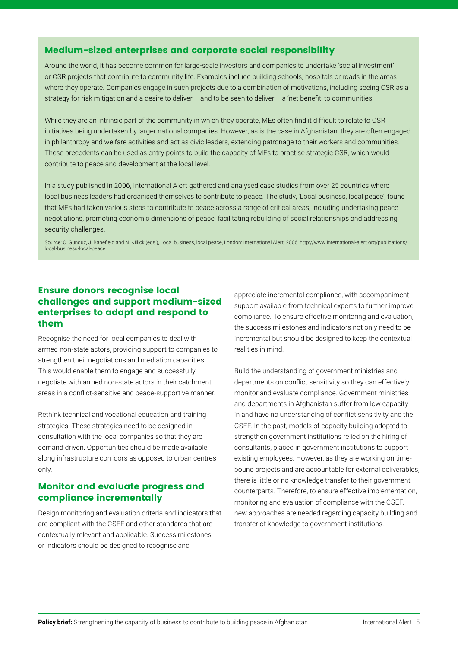#### Medium-sized enterprises and corporate social responsibility

Around the world, it has become common for large-scale investors and companies to undertake 'social investment' or CSR projects that contribute to community life. Examples include building schools, hospitals or roads in the areas where they operate. Companies engage in such projects due to a combination of motivations, including seeing CSR as a strategy for risk mitigation and a desire to deliver – and to be seen to deliver – a 'net benefit' to communities.

While they are an intrinsic part of the community in which they operate, MEs often find it difficult to relate to CSR initiatives being undertaken by larger national companies. However, as is the case in Afghanistan, they are often engaged in philanthropy and welfare activities and act as civic leaders, extending patronage to their workers and communities. These precedents can be used as entry points to build the capacity of MEs to practise strategic CSR, which would contribute to peace and development at the local level.

In a study published in 2006, International Alert gathered and analysed case studies from over 25 countries where local business leaders had organised themselves to contribute to peace. The study, 'Local business, local peace', found that MEs had taken various steps to contribute to peace across a range of critical areas, including undertaking peace negotiations, promoting economic dimensions of peace, facilitating rebuilding of social relationships and addressing security challenges.

Source: C. Gunduz, J. Banefield and N. Killick (eds.), Local business, local peace, London: International Alert, 2006, http://www.international-alert.org/publications/ local-business-local-peace

### Ensure donors recognise local challenges and support medium-sized enterprises to adapt and respond to them

Recognise the need for local companies to deal with armed non-state actors, providing support to companies to strengthen their negotiations and mediation capacities. This would enable them to engage and successfully negotiate with armed non-state actors in their catchment areas in a conflict-sensitive and peace-supportive manner.

Rethink technical and vocational education and training strategies. These strategies need to be designed in consultation with the local companies so that they are demand driven. Opportunities should be made available along infrastructure corridors as opposed to urban centres only.

### Monitor and evaluate progress and compliance incrementally

Design monitoring and evaluation criteria and indicators that are compliant with the CSEF and other standards that are contextually relevant and applicable. Success milestones or indicators should be designed to recognise and

appreciate incremental compliance, with accompaniment support available from technical experts to further improve compliance. To ensure effective monitoring and evaluation, the success milestones and indicators not only need to be incremental but should be designed to keep the contextual realities in mind.

Build the understanding of government ministries and departments on conflict sensitivity so they can effectively monitor and evaluate compliance. Government ministries and departments in Afghanistan suffer from low capacity in and have no understanding of conflict sensitivity and the CSEF. In the past, models of capacity building adopted to strengthen government institutions relied on the hiring of consultants, placed in government institutions to support existing employees. However, as they are working on timebound projects and are accountable for external deliverables, there is little or no knowledge transfer to their government counterparts. Therefore, to ensure effective implementation, monitoring and evaluation of compliance with the CSEF, new approaches are needed regarding capacity building and transfer of knowledge to government institutions.